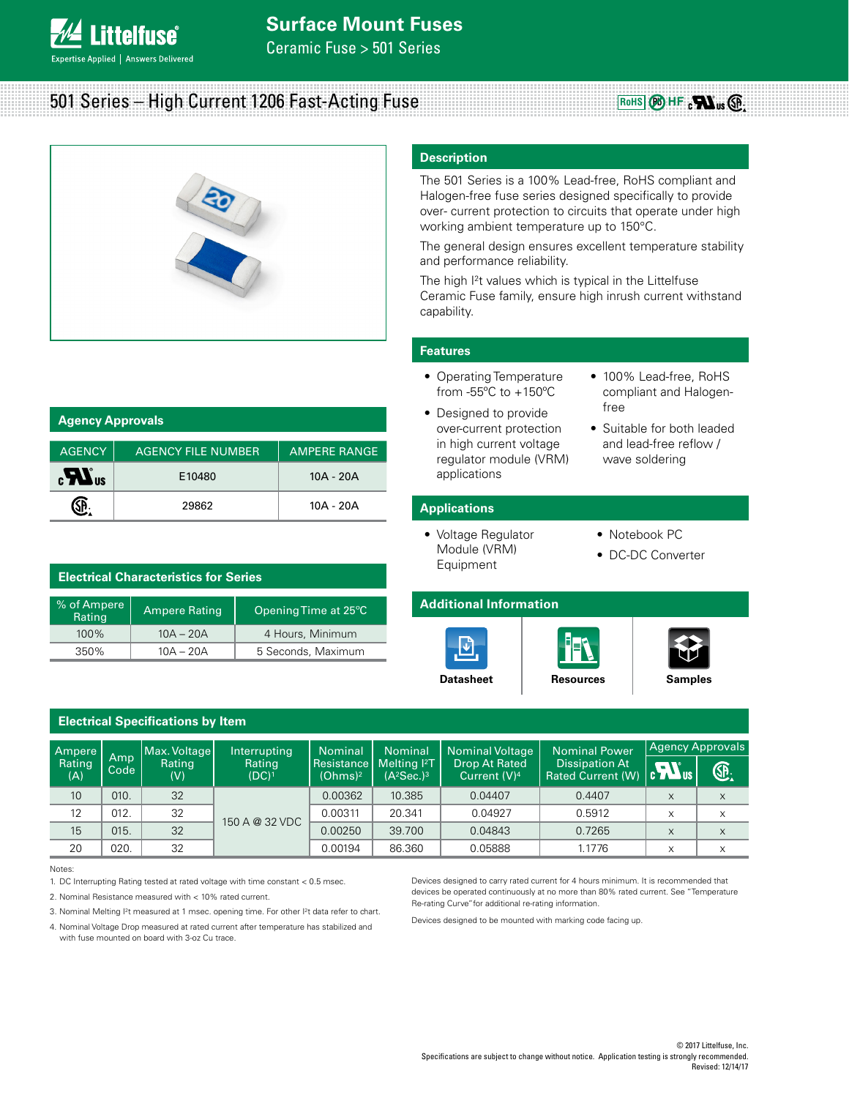

# 501 Series – High Current 1206 Fast-Acting Fuse



# **Description**

The 501 Series is a 100% Lead-free, RoHS compliant and Halogen-free fuse series designed specifically to provide over- current protection to circuits that operate under high working ambient temperature up to 150°C.

The general design ensures excellent temperature stability and performance reliability.

The high I<sup>2</sup>t values which is typical in the Littelfuse Ceramic Fuse family, ensure high inrush current withstand capability.

# **Features**

- Operating Temperature from -55ºC to +150ºC
- 100% Lead-free, RoHS compliant and Halogen-

**RoHS**  $\bigotimes$  HF  $\cdot$   $\bigotimes$  us  $\bigotimes$ 

- Designed to provide over-current protection in high current voltage regulator module (VRM) applications
- free • Suitable for both leaded
- and lead-free reflow / wave soldering

# **Applications**

- Voltage Regulator Module (VRM) Equipment
- Notebook PC
- DC-DC Converter







| % of Ampere<br>Rating |      | <b>Ampere Rating</b>                                                                                       |                                                                                                                                                                                                                                                                                                 | Opening Time at 25°C              |                                         | <b>Additional Information</b>                          |                                                                                                                                                                                                                                            |                         |                         |
|-----------------------|------|------------------------------------------------------------------------------------------------------------|-------------------------------------------------------------------------------------------------------------------------------------------------------------------------------------------------------------------------------------------------------------------------------------------------|-----------------------------------|-----------------------------------------|--------------------------------------------------------|--------------------------------------------------------------------------------------------------------------------------------------------------------------------------------------------------------------------------------------------|-------------------------|-------------------------|
| 100%                  |      | $10A - 20A$                                                                                                |                                                                                                                                                                                                                                                                                                 | 4 Hours, Minimum                  |                                         |                                                        |                                                                                                                                                                                                                                            |                         |                         |
| 350%                  |      | $10A - 20A$                                                                                                |                                                                                                                                                                                                                                                                                                 | 5 Seconds, Maximum                |                                         |                                                        |                                                                                                                                                                                                                                            |                         |                         |
|                       |      |                                                                                                            |                                                                                                                                                                                                                                                                                                 | <b>Datasheet</b>                  | <b>Resources</b>                        | <b>Samples</b>                                         |                                                                                                                                                                                                                                            |                         |                         |
|                       |      | <b>Electrical Specifications by Item</b>                                                                   |                                                                                                                                                                                                                                                                                                 |                                   |                                         |                                                        |                                                                                                                                                                                                                                            |                         |                         |
| Ampere                | Amp  | Max. Voltage                                                                                               | Interrupting                                                                                                                                                                                                                                                                                    | <b>Nominal</b>                    | <b>Nominal</b>                          | <b>Nominal Voltage</b>                                 | <b>Nominal Power</b><br><b>Dissipation At</b><br><b>Rated Current (W)</b>                                                                                                                                                                  | <b>Agency Approvals</b> |                         |
| Rating<br>(A)         | Code | Rating<br>(V)                                                                                              | Rating<br>$(DC)^1$                                                                                                                                                                                                                                                                              | Resistance<br>(Ohms) <sup>2</sup> | Melting <sup>2</sup> T<br>$(A^2Sec.)^3$ | <b>Drop At Rated</b><br>Current (V) <sup>4</sup>       |                                                                                                                                                                                                                                            | $\boldsymbol{u}$        | Œ.                      |
| 10                    | 010. | 32                                                                                                         |                                                                                                                                                                                                                                                                                                 | 0.00362                           | 10.385                                  | 0.04407                                                | 0.4407                                                                                                                                                                                                                                     | $\times$                | X                       |
| 12                    | 012. | 32                                                                                                         | 150 A @ 32 VDC                                                                                                                                                                                                                                                                                  | 0.00311                           | 20.341                                  | 0.04927                                                | 0.5912                                                                                                                                                                                                                                     | X                       | $\times$                |
| 15                    | 015. | 32                                                                                                         |                                                                                                                                                                                                                                                                                                 | 0.00250                           | 39.700                                  | 0.04843                                                | 0.7265                                                                                                                                                                                                                                     | $\times$                | $\mathsf X$             |
| 20                    | 020. | 32                                                                                                         |                                                                                                                                                                                                                                                                                                 | 0.00194                           | 86.360                                  | 0.05888                                                | 1.1776                                                                                                                                                                                                                                     | $\times$                | X                       |
| Notes:                |      | 2. Nominal Resistance measured with < 10% rated current.<br>with fuse mounted on board with 3-oz Cu trace. | 1. DC Interrupting Rating tested at rated voltage with time constant < 0.5 msec.<br>3. Nominal Melting <sup>2</sup> t measured at 1 msec. opening time. For other <sup>2</sup> t data refer to chart.<br>4. Nominal Voltage Drop measured at rated current after temperature has stabilized and |                                   |                                         | Re-rating Curve" for additional re-rating information. | Devices designed to carry rated current for 4 hours minimum. It is recommended that<br>devices be operated continuously at no more than 80% rated current. See "Temperature<br>Devices designed to be mounted with marking code facing up. |                         |                         |
|                       |      |                                                                                                            |                                                                                                                                                                                                                                                                                                 |                                   |                                         |                                                        | Specifications are subject to change without notice. Application testing is strongly recommended.                                                                                                                                          |                         | C 2017 Littelfuse, Inc. |

Notes:

| <b>Agency Approvals</b>  |                           |                     |  |  |
|--------------------------|---------------------------|---------------------|--|--|
|                          |                           |                     |  |  |
| <b>AGENCY</b>            | <b>AGENCY FILE NUMBER</b> | <b>AMPERE RANGE</b> |  |  |
| $\epsilon$ <sup>Us</sup> | E10480                    | $10A - 20A$         |  |  |
|                          | 29862                     | 10A - 20A           |  |  |

| <b>Electrical Characteristics for Series</b> |                      |                                 |  |  |
|----------------------------------------------|----------------------|---------------------------------|--|--|
| % of Ampere<br>Rating                        | <b>Ampere Rating</b> | Opening Time at 25 $^{\circ}$ C |  |  |
| $100\%$                                      | $10A - 20A$          | 4 Hours, Minimum                |  |  |
| 350%                                         | $10A - 20A$          | 5 Seconds, Maximum              |  |  |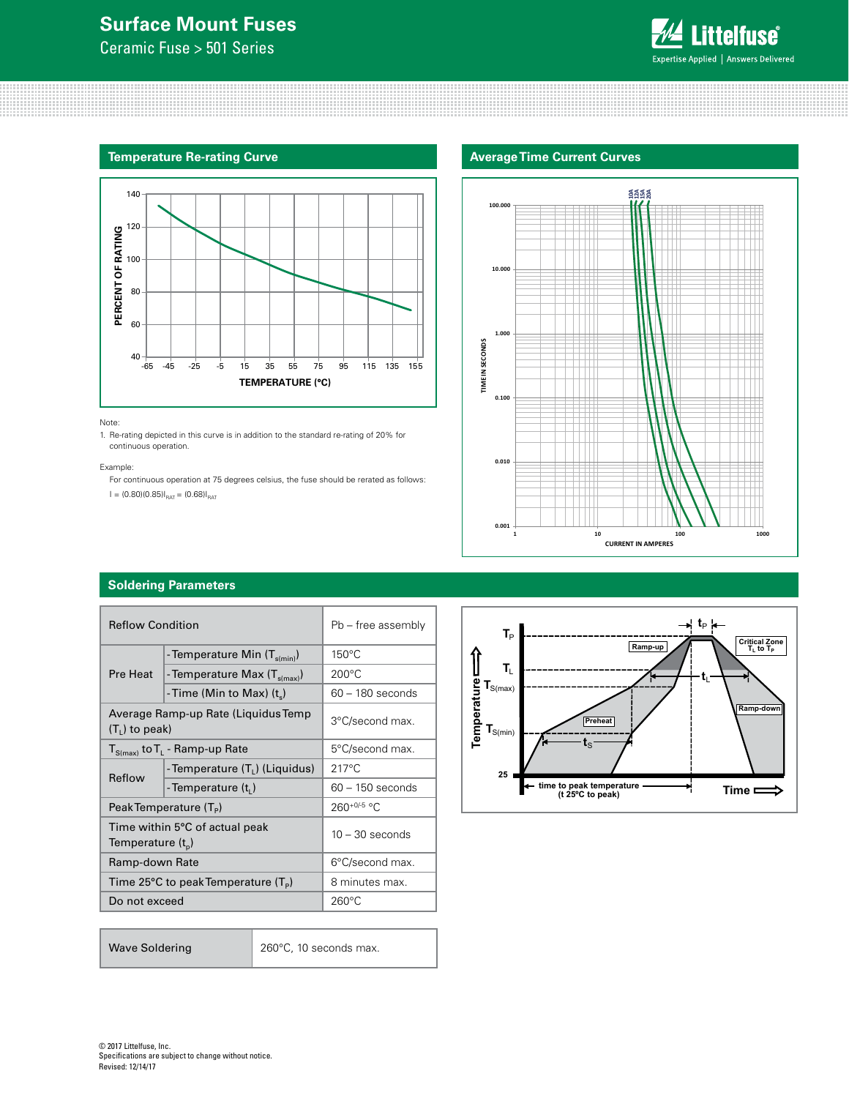# **Surface Mount Fuses**

Ceramic Fuse > 501 Series



### **Temperature Re-rating Curve**



#### Note:

1. Re-rating depicted in this curve is in addition to the standard re-rating of 20% for continuous operation.

#### Example:

For continuous operation at 75 degrees celsius, the fuse should be rerated as follows:

 $I = (0.80)(0.85)I_{\text{RAT}} = (0.68)I_{\text{RAT}}$ 

## **Average Time Current Curves**



# **Soldering Parameters**

| <b>Reflow Condition</b> |                                            | Pb - free assembly |  |
|-------------------------|--------------------------------------------|--------------------|--|
| Pre Heat                | - Temperature Min (T <sub>s(min)</sub> )   | $150^{\circ}$ C    |  |
|                         | - Temperature Max $(T_{s(max)})$           | $200^{\circ}$ C    |  |
|                         | - Time (Min to Max) $(t_s)$                | $60 - 180$ seconds |  |
| $(T1)$ to peak)         | Average Ramp-up Rate (Liquidus Temp        | 3°C/second max.    |  |
|                         | $T_{S(max)}$ to $T_{L}$ - Ramp-up Rate     | 5°C/second max.    |  |
| Reflow                  | - Temperature (T <sub>L</sub> ) (Liquidus) | $217^{\circ}$ C    |  |
|                         | - Temperature $(t_i)$                      | $60 - 150$ seconds |  |
|                         | Peak Temperature $(T_{\rm p})$             | $260+0/-5$ °C      |  |
| Temperature $(t_{p})$   | Time within 5°C of actual peak             | $10 - 30$ seconds  |  |
| Ramp-down Rate          |                                            | 6°C/second max.    |  |
|                         | Time 25°C to peak Temperature $(T_P)$      | 8 minutes max.     |  |
| Do not exceed           |                                            | $260^{\circ}$ C    |  |

Wave Soldering 260°C, 10 seconds max.

 $\frac{1}{2}$ **t**<sub>P</sub> $\frac{1}{2}$  $T_P$ **Critical Zone**<br> **T<sub>L</sub> to T<sub>P</sub> Ramp-up T**L  $\mathbf{t}_\mathsf{L}$ **Temperature**  $\textbf{T}_{\text{S(max)}}$ **Ramp-down Preheat**  $\textbf{T}_{\text{S(min)}}$  $\mathbf{t}_\mathrm{S}$ **25 time to peak temperature (t 25ºC to peak)** ᅯ **Time**